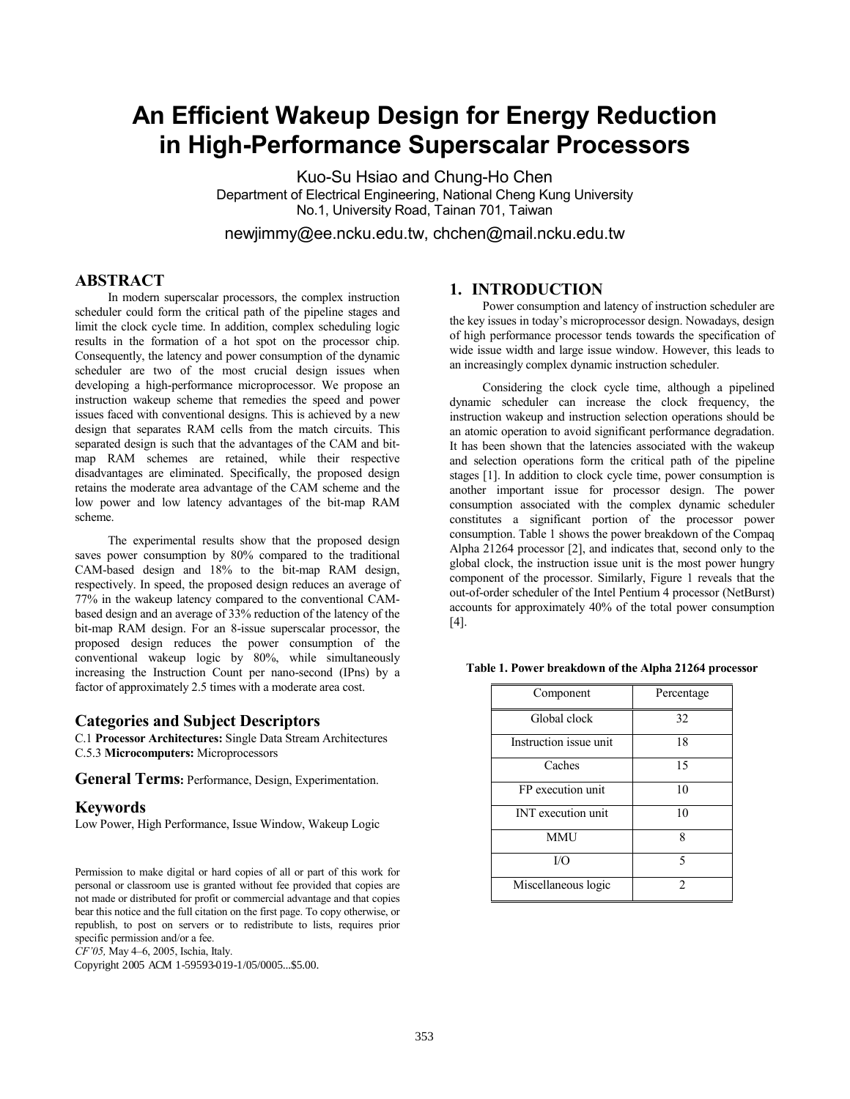# **An Efficient Wakeup Design for Energy Reduction in High-Performance Superscalar Processors**

Kuo-Su Hsiao and Chung-Ho Chen Department of Electrical Engineering, National Cheng Kung University No.1, University Road, Tainan 701, Taiwan

newjimmy@ee.ncku.edu.tw, chchen@mail.ncku.edu.tw

## **ABSTRACT**

In modern superscalar processors, the complex instruction scheduler could form the critical path of the pipeline stages and limit the clock cycle time. In addition, complex scheduling logic results in the formation of a hot spot on the processor chip. Consequently, the latency and power consumption of the dynamic scheduler are two of the most crucial design issues when developing a high-performance microprocessor. We propose an instruction wakeup scheme that remedies the speed and power issues faced with conventional designs. This is achieved by a new design that separates RAM cells from the match circuits. This separated design is such that the advantages of the CAM and bitmap RAM schemes are retained, while their respective disadvantages are eliminated. Specifically, the proposed design retains the moderate area advantage of the CAM scheme and the low power and low latency advantages of the bit-map RAM scheme.

The experimental results show that the proposed design saves power consumption by 80% compared to the traditional CAM-based design and 18% to the bit-map RAM design, respectively. In speed, the proposed design reduces an average of 77% in the wakeup latency compared to the conventional CAMbased design and an average of 33% reduction of the latency of the bit-map RAM design. For an 8-issue superscalar processor, the proposed design reduces the power consumption of the conventional wakeup logic by 80%, while simultaneously increasing the Instruction Count per nano-second (IPns) by a factor of approximately 2.5 times with a moderate area cost.

#### **Categories and Subject Descriptors**

C.1 **Processor Architectures:** Single Data Stream Architectures C.5.3 **Microcomputers:** Microprocessors

**General Terms:** Performance, Design, Experimentation.

#### **Keywords**

Low Power, High Performance, Issue Window, Wakeup Logic

Permission to make digital or hard copies of all or part of this work for personal or classroom use is granted without fee provided that copies are not made or distributed for profit or commercial advantage and that copies bear this notice and the full citation on the first page. To copy otherwise, or republish, to post on servers or to redistribute to lists, requires prior specific permission and/or a fee.

*CF'05,* May 4–6, 2005, Ischia, Italy.

Copyright 2005 ACM 1-59593-018-3/05/0005...\$5.00. Copyright 2005 ACM 1-59593-019-1/05/0005...\$5.00.

## **1. INTRODUCTION**

Power consumption and latency of instruction scheduler are the key issues in today's microprocessor design. Nowadays, design of high performance processor tends towards the specification of wide issue width and large issue window. However, this leads to an increasingly complex dynamic instruction scheduler.

Considering the clock cycle time, although a pipelined dynamic scheduler can increase the clock frequency, the instruction wakeup and instruction selection operations should be an atomic operation to avoid significant performance degradation. It has been shown that the latencies associated with the wakeup and selection operations form the critical path of the pipeline stages [1]. In addition to clock cycle time, power consumption is another important issue for processor design. The power consumption associated with the complex dynamic scheduler constitutes a significant portion of the processor power consumption. Table 1 shows the power breakdown of the Compaq Alpha 21264 processor [2], and indicates that, second only to the global clock, the instruction issue unit is the most power hungry component of the processor. Similarly, Figure 1 reveals that the out-of-order scheduler of the Intel Pentium 4 processor (NetBurst) accounts for approximately 40% of the total power consumption [4].

**Table 1. Power breakdown of the Alpha 21264 processor** 

| Component                 | Percentage |  |  |  |
|---------------------------|------------|--|--|--|
| Global clock              | 32         |  |  |  |
| Instruction issue unit    | 18         |  |  |  |
| Caches                    | 15         |  |  |  |
| FP execution unit         | 10         |  |  |  |
| <b>INT</b> execution unit | 10         |  |  |  |
| <b>MMU</b>                | 8          |  |  |  |
| I/O                       | 5          |  |  |  |
| Miscellaneous logic       | 2          |  |  |  |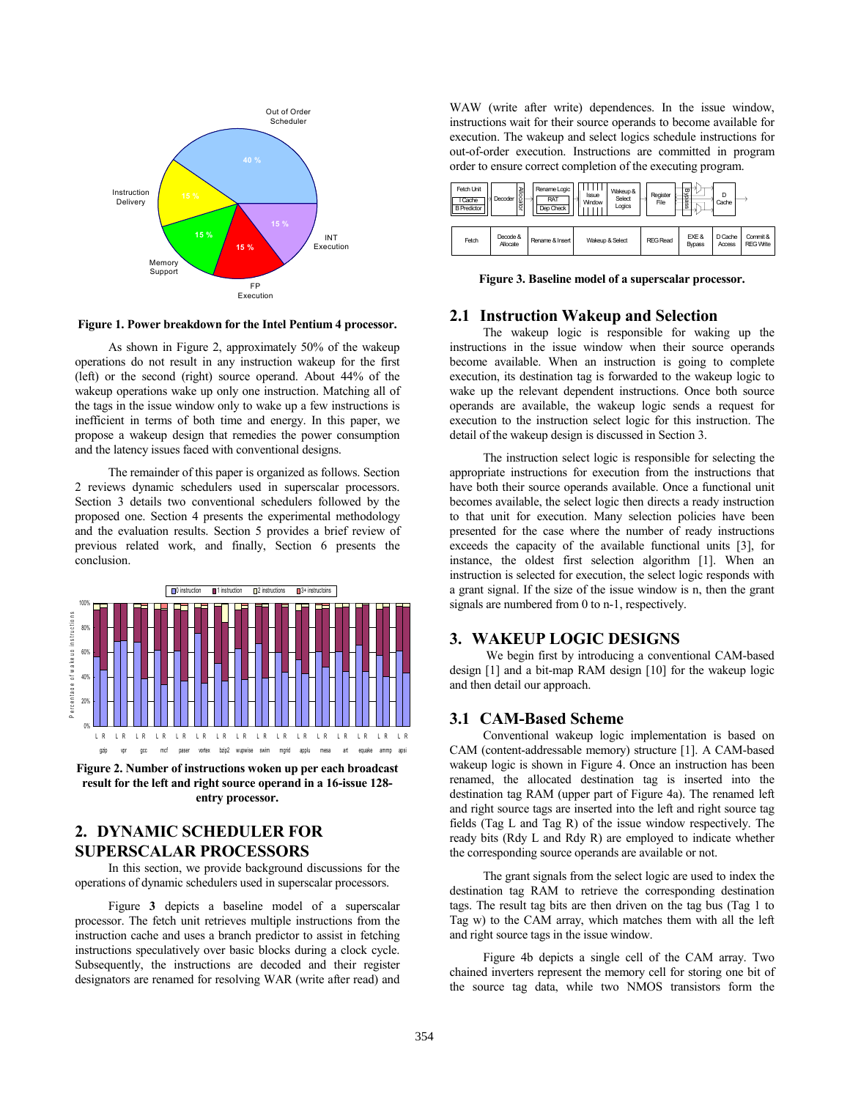

**Figure 1. Power breakdown for the Intel Pentium 4 processor.** 

As shown in Figure 2, approximately 50% of the wakeup operations do not result in any instruction wakeup for the first (left) or the second (right) source operand. About 44% of the wakeup operations wake up only one instruction. Matching all of the tags in the issue window only to wake up a few instructions is inefficient in terms of both time and energy. In this paper, we propose a wakeup design that remedies the power consumption and the latency issues faced with conventional designs.

The remainder of this paper is organized as follows. Section 2 reviews dynamic schedulers used in superscalar processors. Section 3 details two conventional schedulers followed by the proposed one. Section 4 presents the experimental methodology and the evaluation results. Section 5 provides a brief review of previous related work, and finally, Section 6 presents the conclusion.



**Figure 2. Number of instructions woken up per each broadcast result for the left and right source operand in a 16-issue 128 entry processor.** 

# **2. DYNAMIC SCHEDULER FOR SUPERSCALAR PROCESSORS**

In this section, we provide background discussions for the operations of dynamic schedulers used in superscalar processors.

Figure **3** depicts a baseline model of a superscalar processor. The fetch unit retrieves multiple instructions from the instruction cache and uses a branch predictor to assist in fetching instructions speculatively over basic blocks during a clock cycle. Subsequently, the instructions are decoded and their register designators are renamed for resolving WAR (write after read) and WAW (write after write) dependences. In the issue window, instructions wait for their source operands to become available for execution. The wakeup and select logics schedule instructions for out-of-order execution. Instructions are committed in program order to ensure correct completion of the executing program.



**Figure 3. Baseline model of a superscalar processor.** 

## **2.1 Instruction Wakeup and Selection**

The wakeup logic is responsible for waking up the instructions in the issue window when their source operands become available. When an instruction is going to complete execution, its destination tag is forwarded to the wakeup logic to wake up the relevant dependent instructions. Once both source operands are available, the wakeup logic sends a request for execution to the instruction select logic for this instruction. The detail of the wakeup design is discussed in Section 3.

The instruction select logic is responsible for selecting the appropriate instructions for execution from the instructions that have both their source operands available. Once a functional unit becomes available, the select logic then directs a ready instruction to that unit for execution. Many selection policies have been presented for the case where the number of ready instructions exceeds the capacity of the available functional units [3], for instance, the oldest first selection algorithm [1]. When an instruction is selected for execution, the select logic responds with a grant signal. If the size of the issue window is n, then the grant signals are numbered from 0 to n-1, respectively.

#### **3. WAKEUP LOGIC DESIGNS**

 We begin first by introducing a conventional CAM-based design [1] and a bit-map RAM design [10] for the wakeup logic and then detail our approach.

## **3.1 CAM-Based Scheme**

Conventional wakeup logic implementation is based on CAM (content-addressable memory) structure [1]. A CAM-based wakeup logic is shown in Figure 4. Once an instruction has been renamed, the allocated destination tag is inserted into the destination tag RAM (upper part of Figure 4a). The renamed left and right source tags are inserted into the left and right source tag fields (Tag L and Tag R) of the issue window respectively. The ready bits (Rdy L and Rdy R) are employed to indicate whether the corresponding source operands are available or not.

The grant signals from the select logic are used to index the destination tag RAM to retrieve the corresponding destination tags. The result tag bits are then driven on the tag bus (Tag 1 to Tag w) to the CAM array, which matches them with all the left and right source tags in the issue window.

Figure 4b depicts a single cell of the CAM array. Two chained inverters represent the memory cell for storing one bit of the source tag data, while two NMOS transistors form the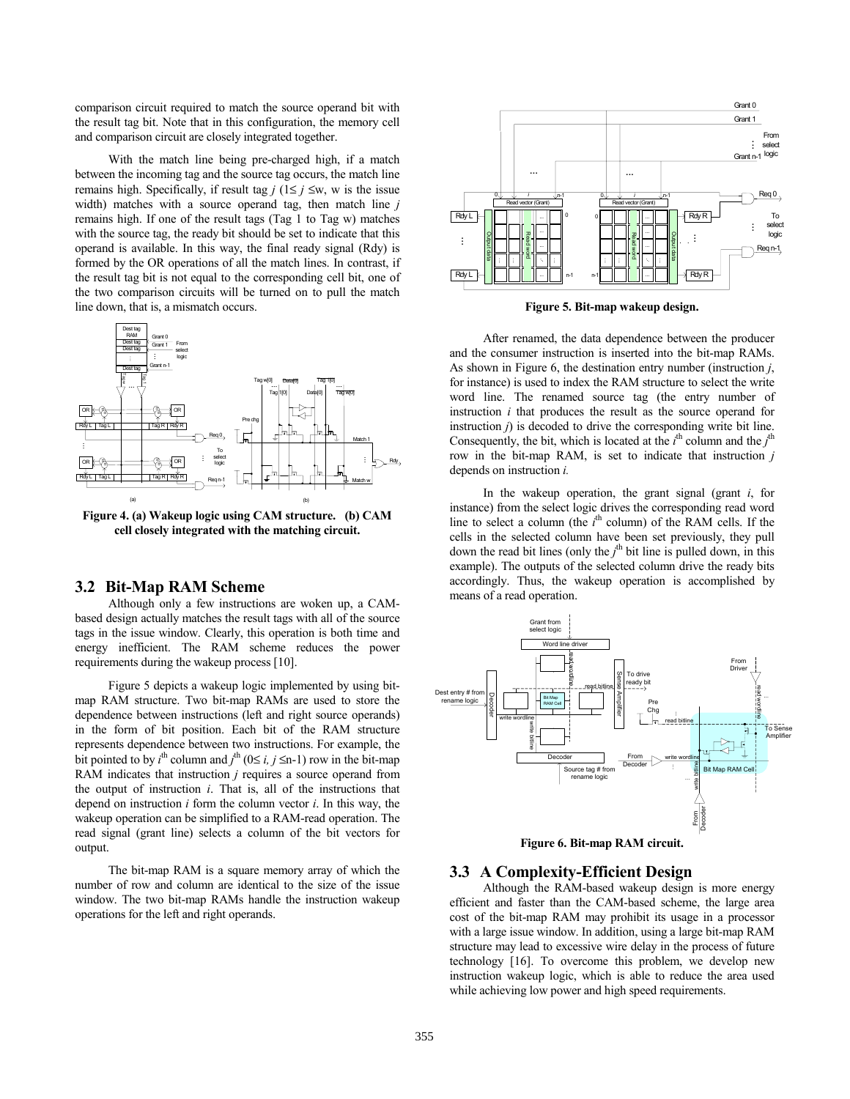comparison circuit required to match the source operand bit with the result tag bit. Note that in this configuration, the memory cell and comparison circuit are closely integrated together.

With the match line being pre-charged high, if a match between the incoming tag and the source tag occurs, the match line remains high. Specifically, if result tag  $j$  ( $1 \le j \le w$ , w is the issue width) matches with a source operand tag, then match line *j* remains high. If one of the result tags (Tag 1 to Tag w) matches with the source tag, the ready bit should be set to indicate that this operand is available. In this way, the final ready signal (Rdy) is formed by the OR operations of all the match lines. In contrast, if the result tag bit is not equal to the corresponding cell bit, one of the two comparison circuits will be turned on to pull the match line down, that is, a mismatch occurs.



**Figure 4. (a) Wakeup logic using CAM structure. (b) CAM cell closely integrated with the matching circuit.** 

## **3.2 Bit-Map RAM Scheme**

Although only a few instructions are woken up, a CAMbased design actually matches the result tags with all of the source tags in the issue window. Clearly, this operation is both time and energy inefficient. The RAM scheme reduces the power requirements during the wakeup process [10].

Figure 5 depicts a wakeup logic implemented by using bitmap RAM structure. Two bit-map RAMs are used to store the dependence between instructions (left and right source operands) in the form of bit position. Each bit of the RAM structure represents dependence between two instructions. For example, the bit pointed to by  $i^{\text{th}}$  column and  $j^{\text{th}}$  (0≤ *i, j* ≤n-1) row in the bit-map RAM indicates that instruction *j* requires a source operand from the output of instruction *i*. That is, all of the instructions that depend on instruction *i* form the column vector *i*. In this way, the wakeup operation can be simplified to a RAM-read operation. The read signal (grant line) selects a column of the bit vectors for output.

The bit-map RAM is a square memory array of which the number of row and column are identical to the size of the issue window. The two bit-map RAMs handle the instruction wakeup operations for the left and right operands.



**Figure 5. Bit-map wakeup design.**

After renamed, the data dependence between the producer and the consumer instruction is inserted into the bit-map RAMs. As shown in Figure 6, the destination entry number (instruction *j*, for instance) is used to index the RAM structure to select the write word line. The renamed source tag (the entry number of instruction *i* that produces the result as the source operand for instruction *j*) is decoded to drive the corresponding write bit line. Consequently, the bit, which is located at the  $i<sup>th</sup>$  column and the  $j<sup>th</sup>$ row in the bit-map RAM, is set to indicate that instruction *j* depends on instruction *i.*

In the wakeup operation, the grant signal (grant *i*, for instance) from the select logic drives the corresponding read word line to select a column (the  $i<sup>th</sup>$  column) of the RAM cells. If the cells in the selected column have been set previously, they pull down the read bit lines (only the  $j^{\text{th}}$  bit line is pulled down, in this example). The outputs of the selected column drive the ready bits accordingly. Thus, the wakeup operation is accomplished by means of a read operation.



**Figure 6. Bit-map RAM circuit.**

#### **3.3 A Complexity-Efficient Design**

Although the RAM-based wakeup design is more energy efficient and faster than the CAM-based scheme, the large area cost of the bit-map RAM may prohibit its usage in a processor with a large issue window. In addition, using a large bit-map RAM structure may lead to excessive wire delay in the process of future technology [16]. To overcome this problem, we develop new instruction wakeup logic, which is able to reduce the area used while achieving low power and high speed requirements.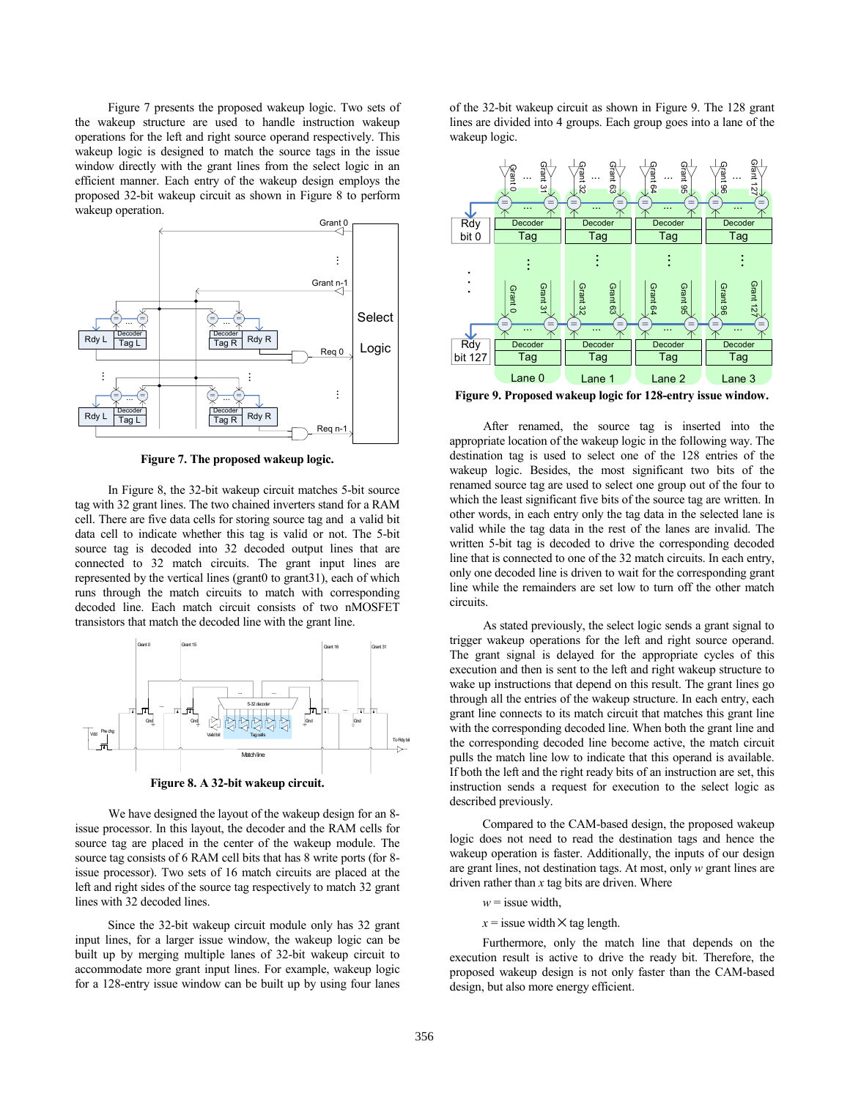Figure 7 presents the proposed wakeup logic. Two sets of the wakeup structure are used to handle instruction wakeup operations for the left and right source operand respectively. This wakeup logic is designed to match the source tags in the issue window directly with the grant lines from the select logic in an efficient manner. Each entry of the wakeup design employs the proposed 32-bit wakeup circuit as shown in Figure 8 to perform wakeup operation.



**Figure 7. The proposed wakeup logic.** 

In Figure 8, the 32-bit wakeup circuit matches 5-bit source tag with 32 grant lines. The two chained inverters stand for a RAM cell. There are five data cells for storing source tag and a valid bit data cell to indicate whether this tag is valid or not. The 5-bit source tag is decoded into 32 decoded output lines that are connected to 32 match circuits. The grant input lines are represented by the vertical lines (grant0 to grant31), each of which runs through the match circuits to match with corresponding decoded line. Each match circuit consists of two nMOSFET transistors that match the decoded line with the grant line.



**Figure 8. A 32-bit wakeup circuit.** 

We have designed the layout of the wakeup design for an 8issue processor. In this layout, the decoder and the RAM cells for source tag are placed in the center of the wakeup module. The source tag consists of 6 RAM cell bits that has 8 write ports (for 8 issue processor). Two sets of 16 match circuits are placed at the left and right sides of the source tag respectively to match 32 grant lines with 32 decoded lines.

Since the 32-bit wakeup circuit module only has 32 grant input lines, for a larger issue window, the wakeup logic can be built up by merging multiple lanes of 32-bit wakeup circuit to accommodate more grant input lines. For example, wakeup logic for a 128-entry issue window can be built up by using four lanes of the 32-bit wakeup circuit as shown in Figure 9. The 128 grant lines are divided into 4 groups. Each group goes into a lane of the wakeup logic.



**Figure 9. Proposed wakeup logic for 128-entry issue window.** 

After renamed, the source tag is inserted into the appropriate location of the wakeup logic in the following way. The destination tag is used to select one of the 128 entries of the wakeup logic. Besides, the most significant two bits of the renamed source tag are used to select one group out of the four to which the least significant five bits of the source tag are written. In other words, in each entry only the tag data in the selected lane is valid while the tag data in the rest of the lanes are invalid. The written 5-bit tag is decoded to drive the corresponding decoded line that is connected to one of the 32 match circuits. In each entry, only one decoded line is driven to wait for the corresponding grant line while the remainders are set low to turn off the other match circuits.

As stated previously, the select logic sends a grant signal to trigger wakeup operations for the left and right source operand. The grant signal is delayed for the appropriate cycles of this execution and then is sent to the left and right wakeup structure to wake up instructions that depend on this result. The grant lines go through all the entries of the wakeup structure. In each entry, each grant line connects to its match circuit that matches this grant line with the corresponding decoded line. When both the grant line and the corresponding decoded line become active, the match circuit pulls the match line low to indicate that this operand is available. If both the left and the right ready bits of an instruction are set, this instruction sends a request for execution to the select logic as described previously.

Compared to the CAM-based design, the proposed wakeup logic does not need to read the destination tags and hence the wakeup operation is faster. Additionally, the inputs of our design are grant lines, not destination tags. At most, only *w* grant lines are driven rather than *x* tag bits are driven. Where

 $w$  = issue width,

 $x =$  issue width  $\times$  tag length.

Furthermore, only the match line that depends on the execution result is active to drive the ready bit. Therefore, the proposed wakeup design is not only faster than the CAM-based design, but also more energy efficient.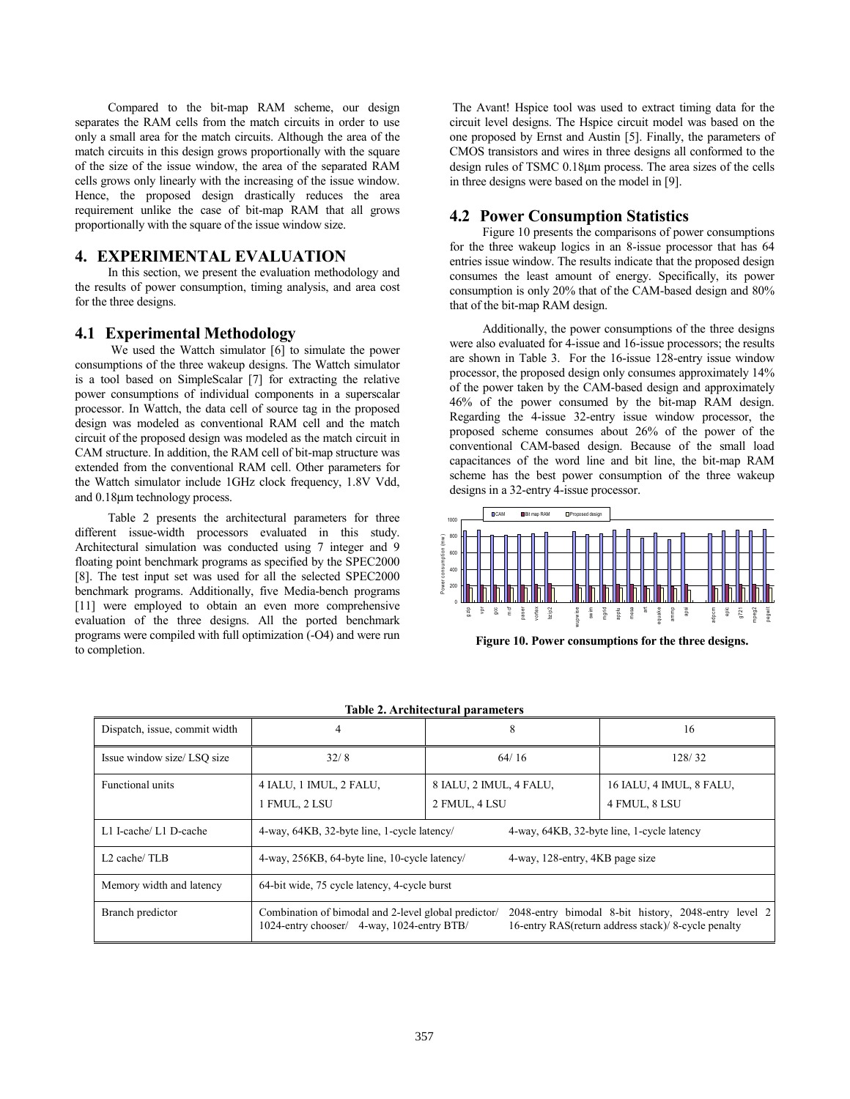Compared to the bit-map RAM scheme, our design separates the RAM cells from the match circuits in order to use only a small area for the match circuits. Although the area of the match circuits in this design grows proportionally with the square of the size of the issue window, the area of the separated RAM cells grows only linearly with the increasing of the issue window. Hence, the proposed design drastically reduces the area requirement unlike the case of bit-map RAM that all grows proportionally with the square of the issue window size.

## **4. EXPERIMENTAL EVALUATION**

In this section, we present the evaluation methodology and the results of power consumption, timing analysis, and area cost for the three designs.

## **4.1 Experimental Methodology**

We used the Wattch simulator [6] to simulate the power consumptions of the three wakeup designs. The Wattch simulator is a tool based on SimpleScalar [7] for extracting the relative power consumptions of individual components in a superscalar processor. In Wattch, the data cell of source tag in the proposed design was modeled as conventional RAM cell and the match circuit of the proposed design was modeled as the match circuit in CAM structure. In addition, the RAM cell of bit-map structure was extended from the conventional RAM cell. Other parameters for the Wattch simulator include 1GHz clock frequency, 1.8V Vdd, and 0.18µm technology process.

Table 2 presents the architectural parameters for three different issue-width processors evaluated in this study. Architectural simulation was conducted using 7 integer and 9 floating point benchmark programs as specified by the SPEC2000 [8]. The test input set was used for all the selected SPEC2000 benchmark programs. Additionally, five Media-bench programs [11] were employed to obtain an even more comprehensive evaluation of the three designs. All the ported benchmark programs were compiled with full optimization (-O4) and were run to completion.

 The Avant! Hspice tool was used to extract timing data for the circuit level designs. The Hspice circuit model was based on the one proposed by Ernst and Austin [5]. Finally, the parameters of CMOS transistors and wires in three designs all conformed to the design rules of TSMC 0.18µm process. The area sizes of the cells in three designs were based on the model in [9].

## **4.2 Power Consumption Statistics**

Figure 10 presents the comparisons of power consumptions for the three wakeup logics in an 8-issue processor that has 64 entries issue window. The results indicate that the proposed design consumes the least amount of energy. Specifically, its power consumption is only 20% that of the CAM-based design and 80% that of the bit-map RAM design.

Additionally, the power consumptions of the three designs were also evaluated for 4-issue and 16-issue processors; the results are shown in Table 3. For the 16-issue 128-entry issue window processor, the proposed design only consumes approximately 14% of the power taken by the CAM-based design and approximately 46% of the power consumed by the bit-map RAM design. Regarding the 4-issue 32-entry issue window processor, the proposed scheme consumes about 26% of the power of the conventional CAM-based design. Because of the small load capacitances of the word line and bit line, the bit-map RAM scheme has the best power consumption of the three wakeup designs in a 32-entry 4-issue processor.



**Figure 10. Power consumptions for the three designs.**

| Table 2. Architectural parameters |                                                                                                                                                                                                                  |                                          |                                            |  |  |  |  |  |  |
|-----------------------------------|------------------------------------------------------------------------------------------------------------------------------------------------------------------------------------------------------------------|------------------------------------------|--------------------------------------------|--|--|--|--|--|--|
| Dispatch, issue, commit width     | 4                                                                                                                                                                                                                | 8                                        | 16                                         |  |  |  |  |  |  |
| Issue window size/ LSO size       | 32/8                                                                                                                                                                                                             | 64/16                                    | 128/32                                     |  |  |  |  |  |  |
| <b>Functional units</b>           | 4 IALU, 1 IMUL, 2 FALU,<br>1 FMUL, 2 LSU                                                                                                                                                                         | 8 IALU, 2 IMUL, 4 FALU,<br>2 FMUL, 4 LSU | 16 IALU, 4 IMUL, 8 FALU,<br>4 FMUL, 8 LSU  |  |  |  |  |  |  |
| L1 I-cache/ L1 D-cache            | 4-way, 64KB, 32-byte line, 1-cycle latency/                                                                                                                                                                      |                                          | 4-way, 64KB, 32-byte line, 1-cycle latency |  |  |  |  |  |  |
| $L2$ cache/TLB                    | 4-way, 256KB, 64-byte line, 10-cycle latency/                                                                                                                                                                    | 4-way, 128-entry, 4KB page size          |                                            |  |  |  |  |  |  |
| Memory width and latency          | 64-bit wide, 75 cycle latency, 4-cycle burst                                                                                                                                                                     |                                          |                                            |  |  |  |  |  |  |
| Branch predictor                  | Combination of bimodal and 2-level global predictor/<br>2048-entry bimodal 8-bit history, 2048-entry level 2<br>16-entry RAS(return address stack)/8-cycle penalty<br>1024-entry chooser/ 4-way, 1024-entry BTB/ |                                          |                                            |  |  |  |  |  |  |

**Table 2. Architectural parameters**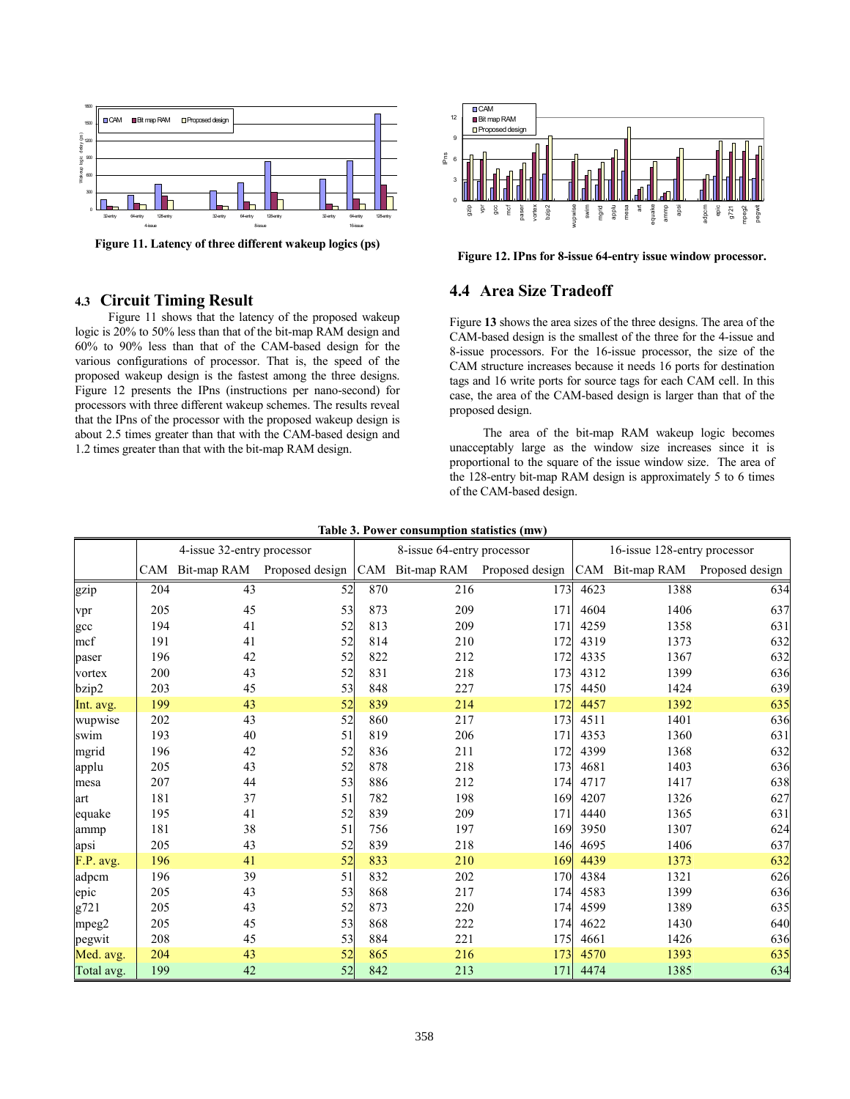

**Figure 11. Latency of three different wakeup logics (ps)** 

## **4.3 Circuit Timing Result**

Figure 11 shows that the latency of the proposed wakeup logic is 20% to 50% less than that of the bit-map RAM design and 60% to 90% less than that of the CAM-based design for the various configurations of processor. That is, the speed of the proposed wakeup design is the fastest among the three designs. Figure 12 presents the IPns (instructions per nano-second) for processors with three different wakeup schemes. The results reveal that the IPns of the processor with the proposed wakeup design is about 2.5 times greater than that with the CAM-based design and 1.2 times greater than that with the bit-map RAM design.



**Figure 12. IPns for 8-issue 64-entry issue window processor.**

## **4.4 Area Size Tradeoff**

Figure **13** shows the area sizes of the three designs. The area of the CAM-based design is the smallest of the three for the 4-issue and 8-issue processors. For the 16-issue processor, the size of the CAM structure increases because it needs 16 ports for destination tags and 16 write ports for source tags for each CAM cell. In this case, the area of the CAM-based design is larger than that of the proposed design.

The area of the bit-map RAM wakeup logic becomes unacceptably large as the window size increases since it is proportional to the square of the issue window size. The area of the 128-entry bit-map RAM design is approximately 5 to 6 times of the CAM-based design.

|            | 4-issue 32-entry processor |             |                 | Table 5. I ower consumption statistics (thw)<br>8-issue 64-entry processor |     | 16-issue 128-entry processor |      |      |                                 |
|------------|----------------------------|-------------|-----------------|----------------------------------------------------------------------------|-----|------------------------------|------|------|---------------------------------|
|            | <b>CAM</b>                 | Bit-map RAM | Proposed design | CAM                                                                        |     | Bit-map RAM Proposed design  |      |      | CAM Bit-map RAM Proposed design |
| gzip       | 204                        | 43          | 52              | 870                                                                        | 216 | 173                          | 4623 | 1388 | 634                             |
| vpr        | 205                        | 45          | 53              | 873                                                                        | 209 | 171                          | 4604 | 1406 | 637                             |
| gcc        | 194                        | 41          | 52              | 813                                                                        | 209 | 171                          | 4259 | 1358 | 631                             |
| mcf        | 191                        | 41          | 52              | 814                                                                        | 210 | 172                          | 4319 | 1373 | 632                             |
| paser      | 196                        | 42          | 52              | 822                                                                        | 212 | 172                          | 4335 | 1367 | 632                             |
| vortex     | 200                        | 43          | 52              | 831                                                                        | 218 | 173                          | 4312 | 1399 | 636                             |
| bzip2      | 203                        | 45          | 53              | 848                                                                        | 227 | 175                          | 4450 | 1424 | 639                             |
| Int. avg.  | 199                        | 43          | 52              | 839                                                                        | 214 | 172                          | 4457 | 1392 | 635                             |
| wupwise    | 202                        | 43          | 52              | 860                                                                        | 217 | 173                          | 4511 | 1401 | 636                             |
| swim       | 193                        | 40          | 51              | 819                                                                        | 206 | 171                          | 4353 | 1360 | 631                             |
| mgrid      | 196                        | 42          | 52              | 836                                                                        | 211 | 172                          | 4399 | 1368 | 632                             |
| applu      | 205                        | 43          | 52              | 878                                                                        | 218 | 173                          | 4681 | 1403 | 636                             |
| mesa       | 207                        | 44          | 53              | 886                                                                        | 212 | 174                          | 4717 | 1417 | 638                             |
| art        | 181                        | 37          | 51              | 782                                                                        | 198 | 169                          | 4207 | 1326 | 627                             |
| equake     | 195                        | 41          | 52              | 839                                                                        | 209 | 171                          | 4440 | 1365 | 631                             |
| ammp       | 181                        | 38          | 51              | 756                                                                        | 197 | 169                          | 3950 | 1307 | 624                             |
| apsi       | 205                        | 43          | 52              | 839                                                                        | 218 | 146                          | 4695 | 1406 | 637                             |
| F.P. avg.  | 196                        | 41          | 52              | 833                                                                        | 210 | 169                          | 4439 | 1373 | 632                             |
| adpcm      | 196                        | 39          | 51              | 832                                                                        | 202 | 170                          | 4384 | 1321 | 626                             |
| epic       | 205                        | 43          | 53              | 868                                                                        | 217 | 174                          | 4583 | 1399 | 636                             |
| g721       | 205                        | 43          | 52              | 873                                                                        | 220 | 174                          | 4599 | 1389 | 635                             |
| mpeg2      | 205                        | 45          | 53              | 868                                                                        | 222 | 174                          | 4622 | 1430 | 640                             |
| pegwit     | 208                        | 45          | 53              | 884                                                                        | 221 | 175                          | 4661 | 1426 | 636                             |
| Med. avg.  | 204                        | 43          | 52              | 865                                                                        | 216 | 173                          | 4570 | 1393 | 635                             |
| Total avg. | 199                        | 42          | 52              | 842                                                                        | 213 | 171                          | 4474 | 1385 | 634                             |

**Table 3. Power consumption statistics (mw)**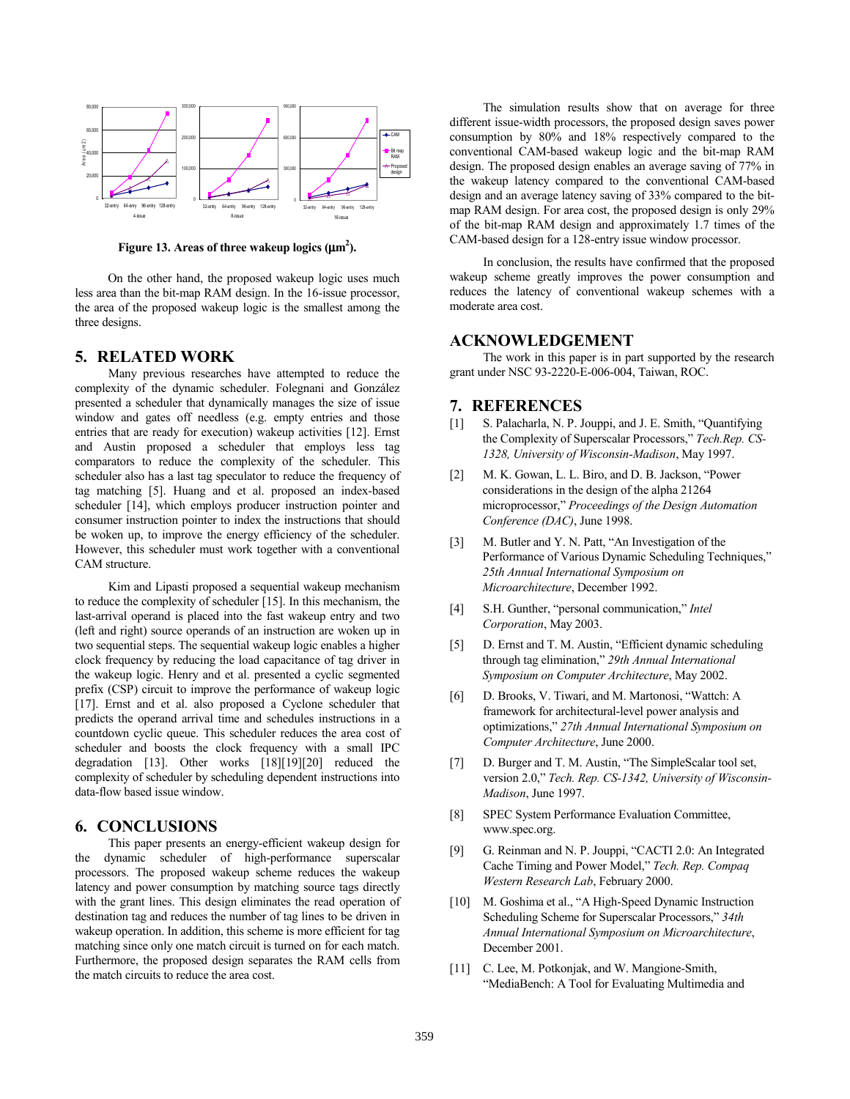

Figure 13. Areas of three wakeup logics  $(\mu m^2)$ .

On the other hand, the proposed wakeup logic uses much less area than the bit-map RAM design. In the 16-issue processor, the area of the proposed wakeup logic is the smallest among the three designs.

## **5. RELATED WORK**

Many previous researches have attempted to reduce the complexity of the dynamic scheduler. Folegnani and González presented a scheduler that dynamically manages the size of issue window and gates off needless (e.g. empty entries and those entries that are ready for execution) wakeup activities [12]. Ernst and Austin proposed a scheduler that employs less tag comparators to reduce the complexity of the scheduler. This scheduler also has a last tag speculator to reduce the frequency of tag matching [5]. Huang and et al. proposed an index-based scheduler [14], which employs producer instruction pointer and consumer instruction pointer to index the instructions that should be woken up, to improve the energy efficiency of the scheduler. However, this scheduler must work together with a conventional CAM structure.

Kim and Lipasti proposed a sequential wakeup mechanism to reduce the complexity of scheduler [15]. In this mechanism, the last-arrival operand is placed into the fast wakeup entry and two (left and right) source operands of an instruction are woken up in two sequential steps. The sequential wakeup logic enables a higher clock frequency by reducing the load capacitance of tag driver in the wakeup logic. Henry and et al. presented a cyclic segmented prefix (CSP) circuit to improve the performance of wakeup logic [17]. Ernst and et al. also proposed a Cyclone scheduler that predicts the operand arrival time and schedules instructions in a countdown cyclic queue. This scheduler reduces the area cost of scheduler and boosts the clock frequency with a small IPC degradation [13]. Other works [18][19][20] reduced the complexity of scheduler by scheduling dependent instructions into data-flow based issue window.

## **6. CONCLUSIONS**

This paper presents an energy-efficient wakeup design for the dynamic scheduler of high-performance superscalar processors. The proposed wakeup scheme reduces the wakeup latency and power consumption by matching source tags directly with the grant lines. This design eliminates the read operation of destination tag and reduces the number of tag lines to be driven in wakeup operation. In addition, this scheme is more efficient for tag matching since only one match circuit is turned on for each match. Furthermore, the proposed design separates the RAM cells from the match circuits to reduce the area cost.

The simulation results show that on average for three different issue-width processors, the proposed design saves power consumption by 80% and 18% respectively compared to the conventional CAM-based wakeup logic and the bit-map RAM design. The proposed design enables an average saving of 77% in the wakeup latency compared to the conventional CAM-based design and an average latency saving of 33% compared to the bitmap RAM design. For area cost, the proposed design is only 29% of the bit-map RAM design and approximately 1.7 times of the CAM-based design for a 128-entry issue window processor.

In conclusion, the results have confirmed that the proposed wakeup scheme greatly improves the power consumption and reduces the latency of conventional wakeup schemes with a moderate area cost.

## **ACKNOWLEDGEMENT**

The work in this paper is in part supported by the research grant under NSC 93-2220-E-006-004, Taiwan, ROC.

#### **7. REFERENCES**

- [1] S. Palacharla, N. P. Jouppi, and J. E. Smith, "Quantifying the Complexity of Superscalar Processors," *Tech.Rep. CS-1328, University of Wisconsin-Madison*, May 1997.
- [2] M. K. Gowan, L. L. Biro, and D. B. Jackson, "Power considerations in the design of the alpha 21264 microprocessor," *Proceedings of the Design Automation Conference (DAC)*, June 1998.
- [3] M. Butler and Y. N. Patt, "An Investigation of the Performance of Various Dynamic Scheduling Techniques," *25th Annual International Symposium on Microarchitecture*, December 1992.
- [4] S.H. Gunther, "personal communication," *Intel Corporation*, May 2003.
- [5] D. Ernst and T. M. Austin, "Efficient dynamic scheduling through tag elimination," *29th Annual International Symposium on Computer Architecture*, May 2002.
- [6] D. Brooks, V. Tiwari, and M. Martonosi, "Wattch: A framework for architectural-level power analysis and optimizations," *27th Annual International Symposium on Computer Architecture*, June 2000.
- [7] D. Burger and T. M. Austin, "The SimpleScalar tool set, version 2.0," *Tech. Rep. CS-1342, University of Wisconsin-Madison*, June 1997.
- [8] SPEC System Performance Evaluation Committee, www.spec.org.
- [9] G. Reinman and N. P. Jouppi, "CACTI 2.0: An Integrated Cache Timing and Power Model," *Tech. Rep. Compaq Western Research Lab*, February 2000.
- [10] M. Goshima et al., "A High-Speed Dynamic Instruction Scheduling Scheme for Superscalar Processors," *34th Annual International Symposium on Microarchitecture*, December 2001.
- [11] C. Lee, M. Potkonjak, and W. Mangione-Smith, "MediaBench: A Tool for Evaluating Multimedia and